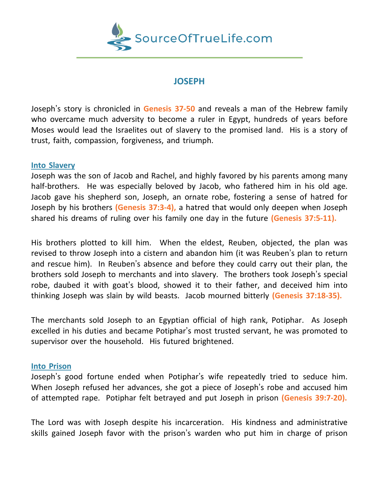

# **JOSEPH**

Joseph's story is chronicled in **Genesis 37-50** and reveals a man of the Hebrew family who overcame much adversity to become a ruler in Egypt, hundreds of years before Moses would lead the Israelites out of slavery to the promised land. His is a story of trust, faith, compassion, forgiveness, and triumph.

### **Into Slavery**

Joseph was the son of Jacob and Rachel, and highly favored by his parents among many half-brothers. He was especially beloved by Jacob, who fathered him in his old age. Jacob gave his shepherd son, Joseph, an ornate robe, fostering a sense of hatred for Joseph by his brothers **(Genesis 37:3-4),** a hatred that would only deepen when Joseph shared his dreams of ruling over his family one day in the future **(Genesis 37:5-11).**

His brothers plotted to kill him. When the eldest, Reuben, objected, the plan was revised to throw Joseph into a cistern and abandon him (it was Reuben's plan to return and rescue him). In Reuben's absence and before they could carry out their plan, the brothers sold Joseph to merchants and into slavery. The brothers took Joseph's special robe, daubed it with goat's blood, showed it to their father, and deceived him into thinking Joseph was slain by wild beasts. Jacob mourned bitterly **(Genesis 37:18-35).**

The merchants sold Joseph to an Egyptian official of high rank, Potiphar. As Joseph excelled in his duties and became Potiphar's most trusted servant, he was promoted to supervisor over the household. His futured brightened.

### **Into Prison**

Joseph's good fortune ended when Potiphar's wife repeatedly tried to seduce him. When Joseph refused her advances, she got a piece of Joseph's robe and accused him of attempted rape. Potiphar felt betrayed and put Joseph in prison **(Genesis 39:7-20).**

The Lord was with Joseph despite his incarceration. His kindness and administrative skills gained Joseph favor with the prison's warden who put him in charge of prison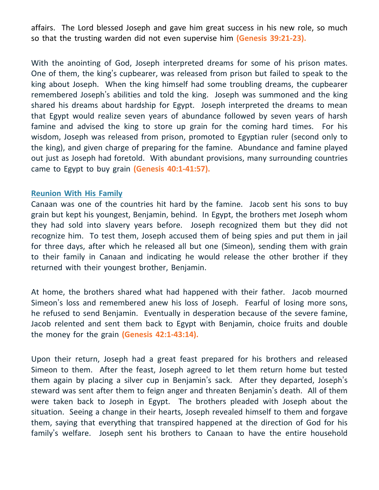affairs. The Lord blessed Joseph and gave him great success in his new role, so much so that the trusting warden did not even supervise him **(Genesis 39:21-23).**

With the anointing of God, Joseph interpreted dreams for some of his prison mates. One of them, the king's cupbearer, was released from prison but failed to speak to the king about Joseph. When the king himself had some troubling dreams, the cupbearer remembered Joseph's abilities and told the king. Joseph was summoned and the king shared his dreams about hardship for Egypt. Joseph interpreted the dreams to mean that Egypt would realize seven years of abundance followed by seven years of harsh famine and advised the king to store up grain for the coming hard times. For his wisdom, Joseph was released from prison, promoted to Egyptian ruler (second only to the king), and given charge of preparing for the famine. Abundance and famine played out just as Joseph had foretold. With abundant provisions, many surrounding countries came to Egypt to buy grain **(Genesis 40:1-41:57).**

#### **Reunion With His Family**

Canaan was one of the countries hit hard by the famine. Jacob sent his sons to buy grain but kept his youngest, Benjamin, behind. In Egypt, the brothers met Joseph whom they had sold into slavery years before. Joseph recognized them but they did not recognize him. To test them, Joseph accused them of being spies and put them in jail for three days, after which he released all but one (Simeon), sending them with grain to their family in Canaan and indicating he would release the other brother if they returned with their youngest brother, Benjamin.

At home, the brothers shared what had happened with their father. Jacob mourned Simeon's loss and remembered anew his loss of Joseph. Fearful of losing more sons, he refused to send Benjamin. Eventually in desperation because of the severe famine, Jacob relented and sent them back to Egypt with Benjamin, choice fruits and double the money for the grain **(Genesis 42:1-43:14).**

Upon their return, Joseph had a great feast prepared for his brothers and released Simeon to them. After the feast, Joseph agreed to let them return home but tested them again by placing a silver cup in Benjamin's sack. After they departed, Joseph's steward was sent after them to feign anger and threaten Benjamin's death. All of them were taken back to Joseph in Egypt. The brothers pleaded with Joseph about the situation. Seeing a change in their hearts, Joseph revealed himself to them and forgave them, saying that everything that transpired happened at the direction of God for his family's welfare. Joseph sent his brothers to Canaan to have the entire household